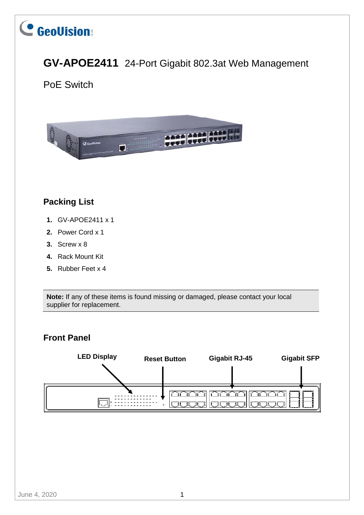# **C** GeoVision

# **GV-APOE2411** 24-Port Gigabit 802.3at Web Management

# PoE Switch



# **Packing List**

- **1.** GV-APOE2411 x 1
- **2.** Power Cord x 1
- **3.** Screw x 8
- **4.** Rack Mount Kit
- **5.** Rubber Feet x 4

**Note:** If any of these items is found missing or damaged, please contact your local supplier for replacement.

# **Front Panel**

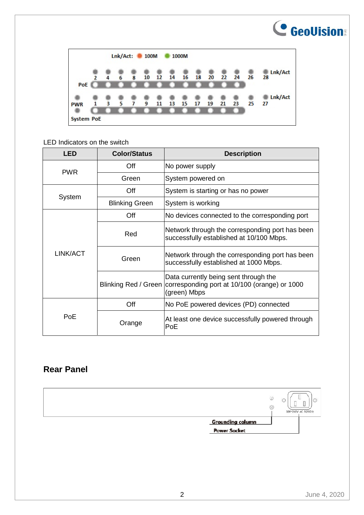|                                 |   |   | Lnk/Act: |   | 100M |    |    | 1000M |    |    |    |    |    |                 |
|---------------------------------|---|---|----------|---|------|----|----|-------|----|----|----|----|----|-----------------|
| PoE                             | 2 | 4 | 6        | 8 | 10   | 12 | 14 | 16    | 18 | 20 | 22 | 24 | 26 | Lnk/Act<br>28   |
| <b>PWR</b><br><b>System PoE</b> |   | 3 | 5        | 7 | 9    | 11 | 13 | 15    | 17 | 19 | 21 | 23 | 25 | Lnk/Act<br>- 27 |

#### LED Indicators on the switch

| <b>LED</b> | <b>Color/Status</b>   | <b>Description</b>                                                                                                            |  |  |  |  |
|------------|-----------------------|-------------------------------------------------------------------------------------------------------------------------------|--|--|--|--|
| <b>PWR</b> | Off                   | No power supply                                                                                                               |  |  |  |  |
|            | Green                 | System powered on                                                                                                             |  |  |  |  |
|            | Off                   | System is starting or has no power                                                                                            |  |  |  |  |
| System     | <b>Blinking Green</b> | System is working                                                                                                             |  |  |  |  |
|            | Off                   | No devices connected to the corresponding port                                                                                |  |  |  |  |
|            | Red                   | Network through the corresponding port has been<br>successfully established at 10/100 Mbps.                                   |  |  |  |  |
| LINK/ACT   | Green                 | Network through the corresponding port has been<br>successfully established at 1000 Mbps.                                     |  |  |  |  |
|            |                       | Data currently being sent through the<br>Blinking Red / Green   corresponding port at 10/100 (orange) or 1000<br>(green) Mbps |  |  |  |  |
| PoE        | Off                   | No PoE powered devices (PD) connected                                                                                         |  |  |  |  |
|            | Orange                | At least one device successfully powered through<br>PoE                                                                       |  |  |  |  |

# **Rear Panel**

| $\dot{\cup}$<br>Ø       | idal.<br>100~240V AC 50/00Hz |
|-------------------------|------------------------------|
| <b>Grounding column</b> |                              |
| <b>Power Socket</b>     |                              |

**C** GeoVision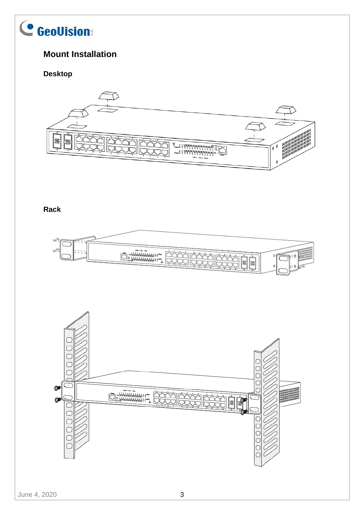# C GeoVision

# **Mount Installation**

#### **Desktop**



**Rack** 

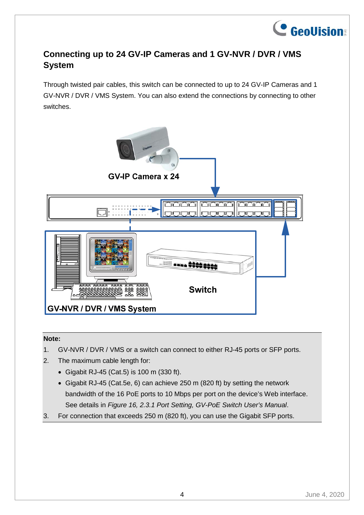

# **Connecting up to 24 GV-IP Cameras and 1 GV-NVR / DVR / VMS System**

Through twisted pair cables, this switch can be connected to up to 24 GV-IP Cameras and 1 GV-NVR / DVR / VMS System. You can also extend the connections by connecting to other switches.



#### **Note:**

- 1. GV-NVR / DVR / VMS or a switch can connect to either RJ-45 ports or SFP ports.
- 2. The maximum cable length for:
	- Gigabit RJ-45 (Cat.5) is 100 m (330 ft).
	- Gigabit RJ-45 (Cat.5e, 6) can achieve 250 m (820 ft) by setting the network bandwidth of the 16 PoE ports to 10 Mbps per port on the device's Web interface. See details in *Figure 16, 2.3.1 Port Setting, GV-PoE Switch User's Manual*.
- 3. For connection that exceeds 250 m (820 ft), you can use the Gigabit SFP ports.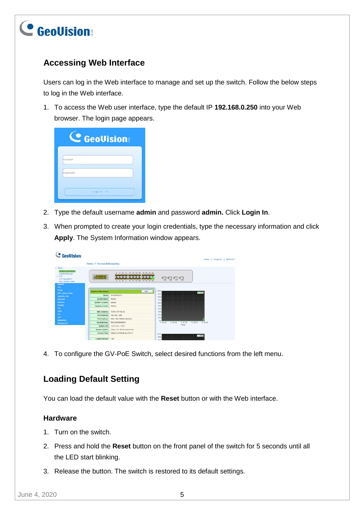

# **Accessing Web Interface**

Users can log in the Web interface to manage and set up the switch. Follow the below steps to log in the Web interface.

1. To access the Web user interface, type the default IP **192.168.0.250** into your Web browser. The login page appears.

| <b>C</b> GeoVision |  |
|--------------------|--|
| <b>ACCOUNT</b>     |  |
| PASSWORD           |  |
| Login in           |  |

- 2. Type the default username **admin** and password **admin.** Click **Login In**.
- 3. When prompted to create your login credentials, type the necessary information and click **Apply**. The System Information window appears.

| <b>Restare Information</b><br>14 15 15 20 22 24<br>10<br>12.<br><b>Logging Mercage</b><br>and hands based based based has<br><b>THE SERVER STATE</b><br>59555<br>Link Aggregation<br>$11 - 13 - 16$<br><b>MAC Address Table</b><br>100%<br>Edit<br><b>System Information</b><br>CPU<br><b>MAC Address Table</b><br>tos<br>GV-APOE2411<br>Model<br><b>Spanning Time</b><br>tow<br><b><i><u>DOSITIONAS ENGINEERING</u></i></b><br><b>Sudch</b><br><b>System Name</b><br>Discovery<br>7.0%<br>Multicast<br>Default<br><b>System Location</b><br><b>60%</b><br>}===========================<br>50%<br>Default<br><b>System Contact</b><br>40%<br>10 FO 13 F1 60 33<br><b>MAC Address</b><br>30%<br>E4A0604444900449310464904<br>20% |                                      |
|---------------------------------------------------------------------------------------------------------------------------------------------------------------------------------------------------------------------------------------------------------------------------------------------------------------------------------------------------------------------------------------------------------------------------------------------------------------------------------------------------------------------------------------------------------------------------------------------------------------------------------------------------------------------------------------------------------------------------------|--------------------------------------|
|                                                                                                                                                                                                                                                                                                                                                                                                                                                                                                                                                                                                                                                                                                                                 |                                      |
|                                                                                                                                                                                                                                                                                                                                                                                                                                                                                                                                                                                                                                                                                                                                 |                                      |
|                                                                                                                                                                                                                                                                                                                                                                                                                                                                                                                                                                                                                                                                                                                                 |                                      |
|                                                                                                                                                                                                                                                                                                                                                                                                                                                                                                                                                                                                                                                                                                                                 |                                      |
|                                                                                                                                                                                                                                                                                                                                                                                                                                                                                                                                                                                                                                                                                                                                 |                                      |
|                                                                                                                                                                                                                                                                                                                                                                                                                                                                                                                                                                                                                                                                                                                                 |                                      |
|                                                                                                                                                                                                                                                                                                                                                                                                                                                                                                                                                                                                                                                                                                                                 |                                      |
|                                                                                                                                                                                                                                                                                                                                                                                                                                                                                                                                                                                                                                                                                                                                 |                                      |
|                                                                                                                                                                                                                                                                                                                                                                                                                                                                                                                                                                                                                                                                                                                                 |                                      |
| <b>PASSESSESSIPPEREDITES</b>                                                                                                                                                                                                                                                                                                                                                                                                                                                                                                                                                                                                                                                                                                    | <b>IPv4 Address</b><br>192.158.7.249 |
| 10%<br><b>IPv6 Address</b><br>1600: 1210: 13ff feft: 6833/64<br>Dagrastics<br>EGANDEERSTERSTERSORTEN<br>ON                                                                                                                                                                                                                                                                                                                                                                                                                                                                                                                                                                                                                      |                                      |
| <b>Serial Number</b><br>PM1020000000001<br>11:45:00<br>11.47.03<br>11:42:00<br>11:45:05<br>Management                                                                                                                                                                                                                                                                                                                                                                                                                                                                                                                                                                                                                           | 11:49:00                             |
| <b>PRESERVATION CONTROLLED</b><br>Time<br>1361411100<br><b>System OID</b>                                                                                                                                                                                                                                                                                                                                                                                                                                                                                                                                                                                                                                                       |                                      |
| E4+=14++4+=1+++++++++++++++<br><b>System Uptime</b><br>2 day, 1 hr. 58 min and 44 sec.                                                                                                                                                                                                                                                                                                                                                                                                                                                                                                                                                                                                                                          |                                      |

4. To configure the GV-PoE Switch, select desired functions from the left menu.

# **Loading Default Setting**

You can load the default value with the **Reset** button or with the Web interface.

#### **Hardware**

- 1. Turn on the switch.
- 2. Press and hold the **Reset** button on the front panel of the switch for 5 seconds until all the LED start blinking.
- 3. Release the button. The switch is restored to its default settings.